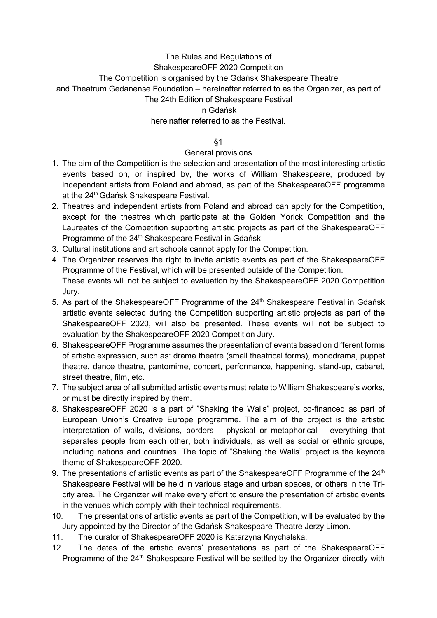# The Rules and Regulations of ShakespeareOFF 2020 Competition The Competition is organised by the Gdańsk Shakespeare Theatre and Theatrum Gedanense Foundation – hereinafter referred to as the Organizer, as part of The 24th Edition of Shakespeare Festival in Gdańsk hereinafter referred to as the Festival.

§1

### General provisions

- 1. The aim of the Competition is the selection and presentation of the most interesting artistic events based on, or inspired by, the works of William Shakespeare, produced by independent artists from Poland and abroad, as part of the ShakespeareOFF programme at the 24<sup>th</sup> Gdańsk Shakespeare Festival.
- 2. Theatres and independent artists from Poland and abroad can apply for the Competition, except for the theatres which participate at the Golden Yorick Competition and the Laureates of the Competition supporting artistic projects as part of the ShakespeareOFF Programme of the 24<sup>th</sup> Shakespeare Festival in Gdańsk.
- 3. Cultural institutions and art schools cannot apply for the Competition.
- 4. The Organizer reserves the right to invite artistic events as part of the ShakespeareOFF Programme of the Festival, which will be presented outside of the Competition. These events will not be subject to evaluation by the ShakespeareOFF 2020 Competition Jury.
- 5. As part of the ShakespeareOFF Programme of the 24<sup>th</sup> Shakespeare Festival in Gdańsk artistic events selected during the Competition supporting artistic projects as part of the ShakespeareOFF 2020, will also be presented. These events will not be subject to evaluation by the ShakespeareOFF 2020 Competition Jury.
- 6. ShakespeareOFF Programme assumes the presentation of events based on different forms of artistic expression, such as: drama theatre (small theatrical forms), monodrama, puppet theatre, dance theatre, pantomime, concert, performance, happening, stand-up, cabaret, street theatre, film, etc.
- 7. The subject area of all submitted artistic events must relate to William Shakespeare's works, or must be directly inspired by them.
- 8. ShakespeareOFF 2020 is a part of "Shaking the Walls" project, co-financed as part of European Union's Creative Europe programme. The aim of the project is the artistic interpretation of walls, divisions, borders – physical or metaphorical – everything that separates people from each other, both individuals, as well as social or ethnic groups, including nations and countries. The topic of "Shaking the Walls" project is the keynote theme of ShakespeareOFF 2020.
- 9. The presentations of artistic events as part of the ShakespeareOFF Programme of the  $24<sup>th</sup>$ Shakespeare Festival will be held in various stage and urban spaces, or others in the Tricity area. The Organizer will make every effort to ensure the presentation of artistic events in the venues which comply with their technical requirements.
- 10. The presentations of artistic events as part of the Competition, will be evaluated by the Jury appointed by the Director of the Gdańsk Shakespeare Theatre Jerzy Limon.
- 11. The curator of ShakespeareOFF 2020 is Katarzyna Knychalska.
- 12. The dates of the artistic events' presentations as part of the ShakespeareOFF Programme of the 24<sup>th</sup> Shakespeare Festival will be settled by the Organizer directly with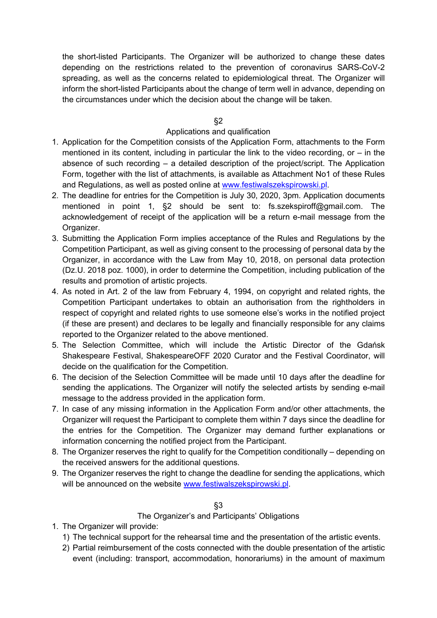the short-listed Participants. The Organizer will be authorized to change these dates depending on the restrictions related to the prevention of coronavirus SARS-CoV-2 spreading, as well as the concerns related to epidemiological threat. The Organizer will inform the short-listed Participants about the change of term well in advance, depending on the circumstances under which the decision about the change will be taken.

### §2

# Applications and qualification

- 1. Application for the Competition consists of the Application Form, attachments to the Form mentioned in its content, including in particular the link to the video recording, or  $-$  in the absence of such recording – a detailed description of the project/script. The Application Form, together with the list of attachments, is available as Attachment No1 of these Rules and Regulations, as well as posted online at www.festiwalszekspirowski.pl.
- 2. The deadline for entries for the Competition is July 30, 2020, 3pm. Application documents mentioned in point 1, §2 should be sent to: fs.szekspiroff@gmail.com. The acknowledgement of receipt of the application will be a return e-mail message from the Organizer.
- 3. Submitting the Application Form implies acceptance of the Rules and Regulations by the Competition Participant, as well as giving consent to the processing of personal data by the Organizer, in accordance with the Law from May 10, 2018, on personal data protection (Dz.U. 2018 poz. 1000), in order to determine the Competition, including publication of the results and promotion of artistic projects.
- 4. As noted in Art. 2 of the law from February 4, 1994, on copyright and related rights, the Competition Participant undertakes to obtain an authorisation from the rightholders in respect of copyright and related rights to use someone else's works in the notified project (if these are present) and declares to be legally and financially responsible for any claims reported to the Organizer related to the above mentioned.
- 5. The Selection Committee, which will include the Artistic Director of the Gdańsk Shakespeare Festival, ShakespeareOFF 2020 Curator and the Festival Coordinator, will decide on the qualification for the Competition.
- 6. The decision of the Selection Committee will be made until 10 days after the deadline for sending the applications. The Organizer will notify the selected artists by sending e-mail message to the address provided in the application form.
- 7. In case of any missing information in the Application Form and/or other attachments, the Organizer will request the Participant to complete them within 7 days since the deadline for the entries for the Competition. The Organizer may demand further explanations or information concerning the notified project from the Participant.
- 8. The Organizer reserves the right to qualify for the Competition conditionally depending on the received answers for the additional questions.
- 9. The Organizer reserves the right to change the deadline for sending the applications, which will be announced on the website www.festiwalszekspirowski.pl.

#### §3

## The Organizer's and Participants' Obligations

- 1. The Organizer will provide:
	- 1) The technical support for the rehearsal time and the presentation of the artistic events.
	- 2) Partial reimbursement of the costs connected with the double presentation of the artistic event (including: transport, accommodation, honorariums) in the amount of maximum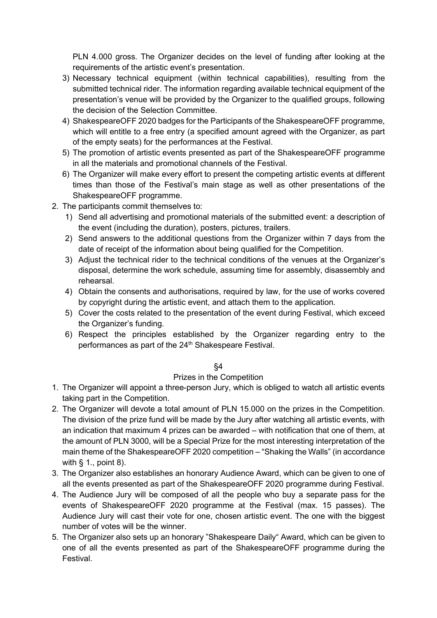PLN 4.000 gross. The Organizer decides on the level of funding after looking at the requirements of the artistic event's presentation.

- 3) Necessary technical equipment (within technical capabilities), resulting from the submitted technical rider. The information regarding available technical equipment of the presentation's venue will be provided by the Organizer to the qualified groups, following the decision of the Selection Committee.
- 4) ShakespeareOFF 2020 badges for the Participants of the ShakespeareOFF programme, which will entitle to a free entry (a specified amount agreed with the Organizer, as part of the empty seats) for the performances at the Festival.
- 5) The promotion of artistic events presented as part of the ShakespeareOFF programme in all the materials and promotional channels of the Festival.
- 6) The Organizer will make every effort to present the competing artistic events at different times than those of the Festival's main stage as well as other presentations of the ShakespeareOFF programme.
- 2. The participants commit themselves to:
	- 1) Send all advertising and promotional materials of the submitted event: a description of the event (including the duration), posters, pictures, trailers.
	- 2) Send answers to the additional questions from the Organizer within 7 days from the date of receipt of the information about being qualified for the Competition.
	- 3) Adjust the technical rider to the technical conditions of the venues at the Organizer's disposal, determine the work schedule, assuming time for assembly, disassembly and rehearsal.
	- 4) Obtain the consents and authorisations, required by law, for the use of works covered by copyright during the artistic event, and attach them to the application.
	- 5) Cover the costs related to the presentation of the event during Festival, which exceed the Organizer's funding.
	- 6) Respect the principles established by the Organizer regarding entry to the performances as part of the 24<sup>th</sup> Shakespeare Festival.

## §4

## Prizes in the Competition

- 1. The Organizer will appoint a three-person Jury, which is obliged to watch all artistic events taking part in the Competition.
- 2. The Organizer will devote a total amount of PLN 15.000 on the prizes in the Competition. The division of the prize fund will be made by the Jury after watching all artistic events, with an indication that maximum 4 prizes can be awarded – with notification that one of them, at the amount of PLN 3000, will be a Special Prize for the most interesting interpretation of the main theme of the ShakespeareOFF 2020 competition – "Shaking the Walls" (in accordance with  $\S$  1., point 8).
- 3. The Organizer also establishes an honorary Audience Award, which can be given to one of all the events presented as part of the ShakespeareOFF 2020 programme during Festival.
- 4. The Audience Jury will be composed of all the people who buy a separate pass for the events of ShakespeareOFF 2020 programme at the Festival (max. 15 passes). The Audience Jury will cast their vote for one, chosen artistic event. The one with the biggest number of votes will be the winner.
- 5. The Organizer also sets up an honorary "Shakespeare Daily" Award, which can be given to one of all the events presented as part of the ShakespeareOFF programme during the Festival.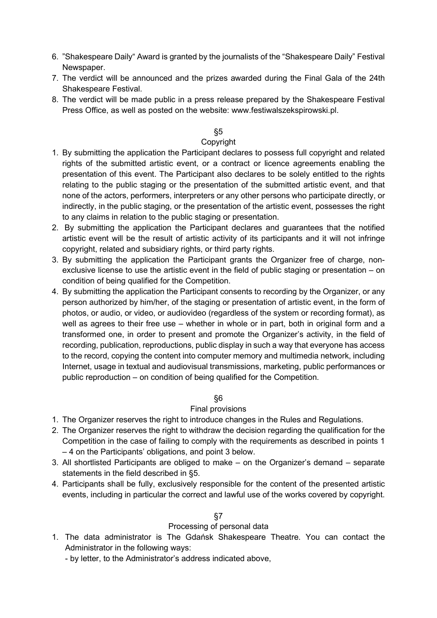- 6. "Shakespeare Daily" Award is granted by the journalists of the "Shakespeare Daily" Festival Newspaper.
- 7. The verdict will be announced and the prizes awarded during the Final Gala of the 24th Shakespeare Festival.
- 8. The verdict will be made public in a press release prepared by the Shakespeare Festival Press Office, as well as posted on the website: www.festiwalszekspirowski.pl.

### §5

### Copyright

- 1. By submitting the application the Participant declares to possess full copyright and related rights of the submitted artistic event, or a contract or licence agreements enabling the presentation of this event. The Participant also declares to be solely entitled to the rights relating to the public staging or the presentation of the submitted artistic event, and that none of the actors, performers, interpreters or any other persons who participate directly, or indirectly, in the public staging, or the presentation of the artistic event, possesses the right to any claims in relation to the public staging or presentation.
- 2. By submitting the application the Participant declares and guarantees that the notified artistic event will be the result of artistic activity of its participants and it will not infringe copyright, related and subsidiary rights, or third party rights.
- 3. By submitting the application the Participant grants the Organizer free of charge, nonexclusive license to use the artistic event in the field of public staging or presentation – on condition of being qualified for the Competition.
- 4. By submitting the application the Participant consents to recording by the Organizer, or any person authorized by him/her, of the staging or presentation of artistic event, in the form of photos, or audio, or video, or audiovideo (regardless of the system or recording format), as well as agrees to their free use – whether in whole or in part, both in original form and a transformed one, in order to present and promote the Organizer's activity, in the field of recording, publication, reproductions, public display in such a way that everyone has access to the record, copying the content into computer memory and multimedia network, including Internet, usage in textual and audiovisual transmissions, marketing, public performances or public reproduction – on condition of being qualified for the Competition.

#### §6

#### Final provisions

- 1. The Organizer reserves the right to introduce changes in the Rules and Regulations.
- 2. The Organizer reserves the right to withdraw the decision regarding the qualification for the Competition in the case of failing to comply with the requirements as described in points 1 – 4 on the Participants' obligations, and point 3 below.
- 3. All shortlisted Participants are obliged to make on the Organizer's demand separate statements in the field described in §5.
- 4. Participants shall be fully, exclusively responsible for the content of the presented artistic events, including in particular the correct and lawful use of the works covered by copyright.

# §7

# Processing of personal data

- 1. The data administrator is The Gdańsk Shakespeare Theatre. You can contact the Administrator in the following ways:
	- by letter, to the Administrator's address indicated above,